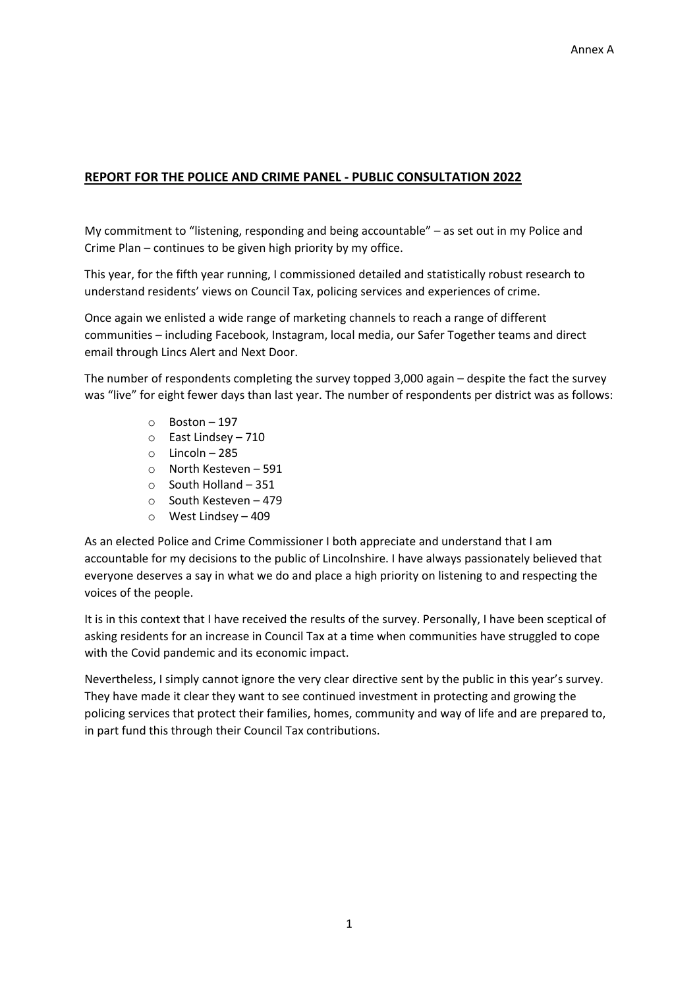## **REPORT FOR THE POLICE AND CRIME PANEL ‐ PUBLIC CONSULTATION 2022**

My commitment to "listening, responding and being accountable" – as set out in my Police and Crime Plan – continues to be given high priority by my office.

This year, for the fifth year running, I commissioned detailed and statistically robust research to understand residents' views on Council Tax, policing services and experiences of crime.

Once again we enlisted a wide range of marketing channels to reach a range of different communities – including Facebook, Instagram, local media, our Safer Together teams and direct email through Lincs Alert and Next Door.

The number of respondents completing the survey topped 3,000 again – despite the fact the survey was "live" for eight fewer days than last year. The number of respondents per district was as follows:

- o Boston 197
- o East Lindsey 710
- o Lincoln 285
- o North Kesteven 591
- o South Holland 351
- o South Kesteven 479
- o West Lindsey 409

As an elected Police and Crime Commissioner I both appreciate and understand that I am accountable for my decisions to the public of Lincolnshire. I have always passionately believed that everyone deserves a say in what we do and place a high priority on listening to and respecting the voices of the people.

It is in this context that I have received the results of the survey. Personally, I have been sceptical of asking residents for an increase in Council Tax at a time when communities have struggled to cope with the Covid pandemic and its economic impact.

Nevertheless, I simply cannot ignore the very clear directive sent by the public in this year's survey. They have made it clear they want to see continued investment in protecting and growing the policing services that protect their families, homes, community and way of life and are prepared to, in part fund this through their Council Tax contributions.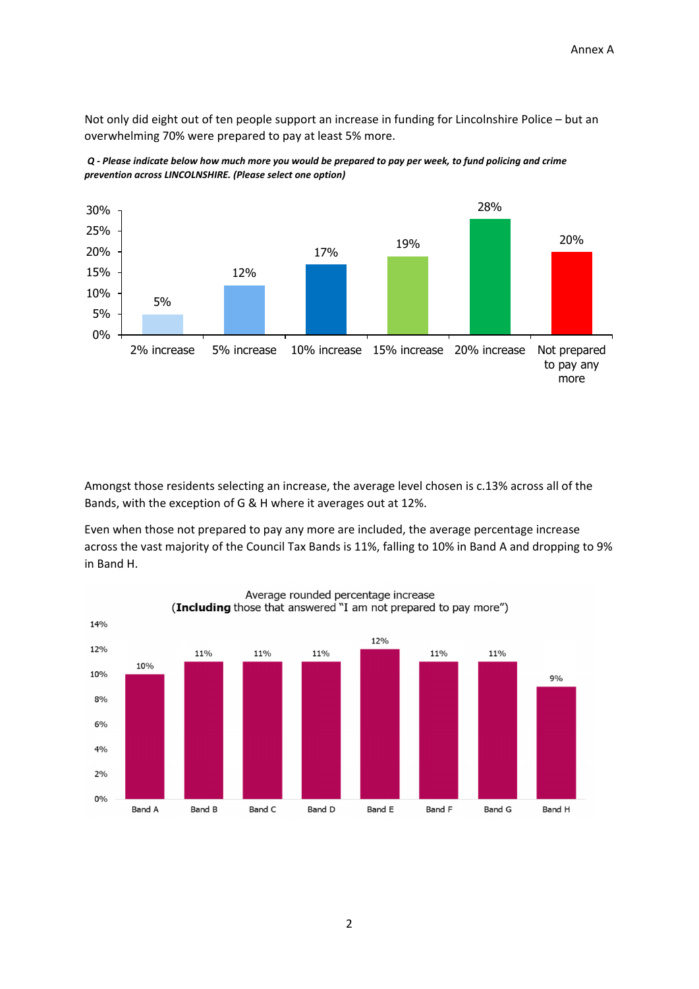Not only did eight out of ten people support an increase in funding for Lincolnshire Police – but an overwhelming 70% were prepared to pay at least 5% more.





Amongst those residents selecting an increase, the average level chosen is c.13% across all of the Bands, with the exception of G & H where it averages out at 12%.

Even when those not prepared to pay any more are included, the average percentage increase across the vast majority of the Council Tax Bands is 11%, falling to 10% in Band A and dropping to 9% in Band H.



Average rounded percentage increase